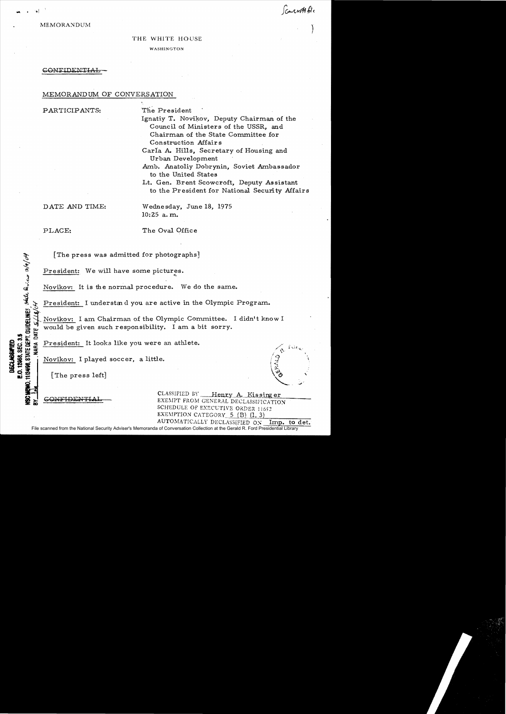connot file

**MEMORANDUM** 

## THE WHITE HOUSE WASHINGTON

## CONFIDENTIAL

## MEMORANDUM OF CONVERSATION

PARTICIPANTS:

The President

Ignatiy T. Novikov, Deputy Chairman of the Council of Ministers of the USSR, and Chairman of the State Committee for Construction Affairs

Carla A. Hills. Secretary of Housing and Urban Development

Amb. Anatoliy Dobrynin, Soviet Ambassador to the United States

Lt. Gen. Brent Scowcroft, Deputy Assistant to the President for National Security Affairs

DATE AND TIME:

Wednesday, June 18, 1975  $10:25$  a, m.

PLACE:

state Rivers 3/9/04

**11/24/98, STATE DEPT. GUIDELINES** 

**NARA** 

**E.O. 12958, SEC. 3.5** 

**DECLASSAFIET** 

The Oval Office

[The press was admitted for photographs]

President: We will have some pictures.

Novikov: It is the normal procedure. We do the same.

President: I understand you are active in the Olympic Program.

Novikov: I am Chairman of the Olympic Committee. I didn't know I would be given such responsibility. I am a bit sorry.

President: It looks like you were an athlete.

Novikov: I played soccer, a little.

[The press left]

CONFIDEN

CLASSIFIED BY Henry A. Kissinger EXEMPT FROM GENERAL DECLASSIFICATION SCHEDULE OF EXECUTIVE ORDER 11652 EXEMPTION CATEGORY 5 (B) (1, 3) AUTOMATICALLY DECLASSIFIED ON Imp. to det.

File scanned from the National Security Adviser's Memoranda of Conversation Collection at the Gerald R. Ford Presidential Library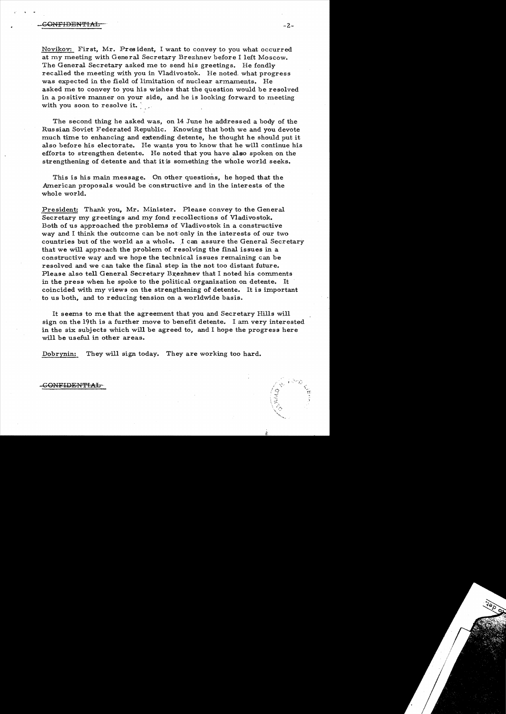Novikov: First, Mr. Pres ident, I want to convey to you what occurred at my meeting with General Secretary Brezhnev before I left Moscow. The General Secretary asked me to send his greetings. He fondly recalled the meeting with you in Vladivostok. He noted, what progress was expected in the field of limitation of nuclear armaments. He asked me to convey to you his wishes that the question would be resolved in a po sitive manner on your side, and he is looking forward to meeting with you soon to resolve it.

The second thing he asked was, on 14 June he addressed a body of the Russian Soviet Federated Republic. Knowing that both we and you devote much time to enhancing and extending detente, he thought he should put it also before his electorate. He wants you to know that he will continue his efforts to strengthen detente. He noted that you have also spoken on the strengthening of detente and that it is something the whole world seeks.

This is his main message. On other questions, he hoped that the American proposals would be constructive and in the interests of the whole world.

President: Thank you, Mr. Minister. Please convey to the General Secretary my greetings and my fond recollections of Vladivostok. Both of us approached the problems of Vladivostok in a constructive way and I think the outcome can be not only in the interests of our two countries but of the world as a whole. I can assure the General Secretary that we will approach the problem of resolving the final issues in a constructive way and we hope the technical issues remaining can be resolved and we can take the final step in the not too distant future. Please also tell General Secretary Brezhnev that I noted his comments in the press when he spoke to the political organization on detente. It coincided with my views on the strengthening of detente. It is important to us both, and to reducing tension on a worldwide basis.

It seems to me that the agreement that you and Secretary Hills will sign on the 19th is a further move to benefit detente. I am very interested in the six subjects which will be agreed to, and I hope the progress here will be useful in other areas.

Dobrynin: They will sign today. They are working too hard.

CONFIDENTIAL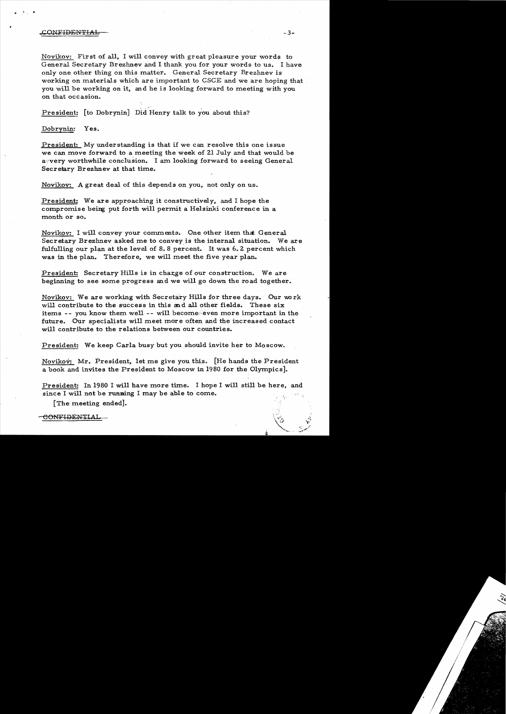## $\text{COMF} \text{1DENTHAL}$  -3-

..

 $\mathcal{A}$  .

Novikov: First of all, I will convey with great pleasure your words to General Secretary Brezhnev and I thank you for your words to us. I have only one other thing on this matter. General Secretary Brezhnev is working on materials which are important to CSCE and we are hoping that you will be working on it, and he is looking forward to meeting with you on that occasion.

President: [to Dobrynin] Did Henry talk to you about this?

Dobrynin: Yes.

President: My understanding is that if we can resolve this one issue we can move forward to a meeting the week of 21 July and that would be a very worthwhile conclusion. I am looking forward to seeing General Secretary Brezhnev at that time.

Novikov: A great deal of this depends on you, not only on us.

President: We are approaching it constructively, and I hope the compromise being put forth will permit a Helsinki conference in a month or so.

Novikov: I will convey your comments. One other item that General Secretary Brezhnev asked me to convey is the internal situation. We are fulfulling our plan at the level of 8.8 percent. It was 6.2 percent which was in the plan. Therefore, we will meet the five year plan.

President: Secretary Hills is in charge of our construction. We are beginning to see some progress and we will go down the road together.

Novikov: We are working with Secretary Hills for three days. Our work will contribute to the success in this and all other fields. These six items -- you know them well -- will become even more important in the future. Our specialists will meet more often and the increased contact will contribute to the relations between our countries.

President: We keep Carla busy but you should invite her to Moscow.

Novikov: Mr. President, let me give you this. [He hands the President a book and invites the President to Moscow in 1980 for the Olympics].

President: In 1980 I will have more time. I hope I will still be here, and since I will not be running I may be able to come.

[The meeting ended].

CONFIDENTIAL

"r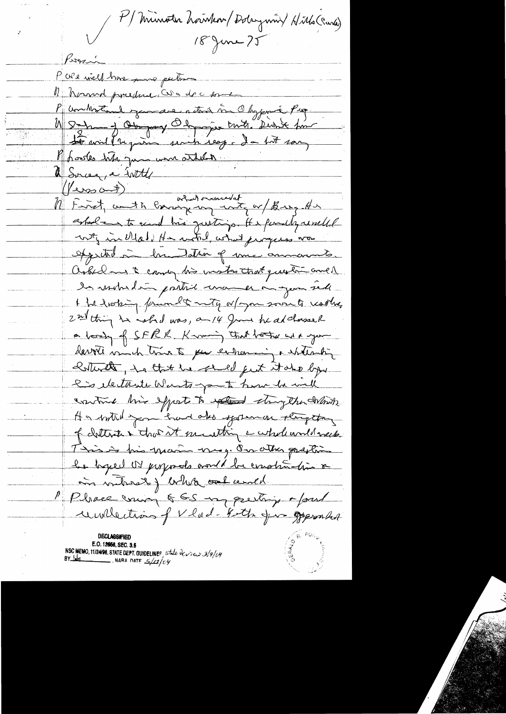( M Minoth houten / Dolaymin / Hitls (Carla) 18 June 25 Pors Pare viel me sono putant M Normal predere Conde de comme P unhoter exercise netwo in Obygonic Pro 1) Sur y Obeyand Thomas truth Dishe for - 不讓 <del>Le</del> voil (require senti seap- dans son Baodes três juin mon attent 1 Surcez, a witty  $(100000)$ (Yers and)<br>M First, with conveying inter or thing the estale in to eart his quiting. It & functly usuallel oppetit à la dation of me amounts. asked and a came his mostro that question and les motives pretions una en ou que sede I for disting forwards anty or you soon to reading 2 nd thing he whad was, an 14 gives he alchare a loosty of SFRR, Karaming that bother with your darrets minutes to pur entrancing a statement Botteret , hattet he shall feet that by l'es iletteste Wants-part hom he will contrad this efforts to extend they the debter He with you had also systeman string they of clothoster true at meathing a whole und week. Time in this main may. Our other galption le byeel or proposats would be construction & in vitros ) who alcend. Place mon 565 mperting Moul unilections of V had-Koth Jun Opponha E.O. 12056, SEC. 3.5 NSC MEMO, 11/24/98, STATE DEPT. GUIDELINES state  $\frac{\partial \psi}{\partial y}$  of BY May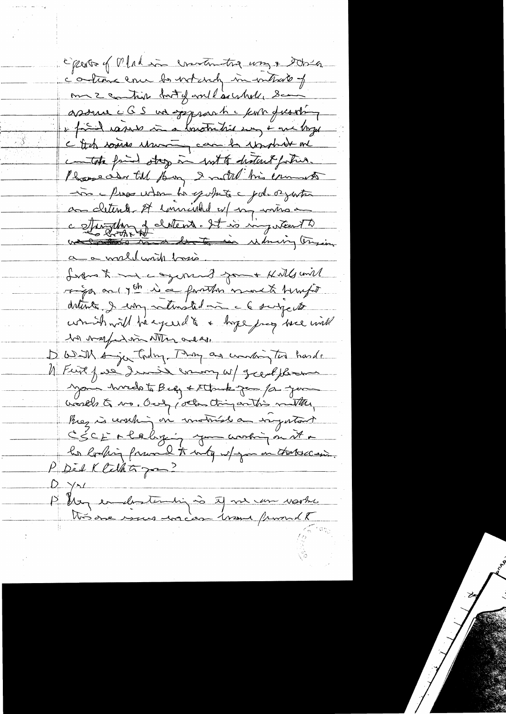Cipente y Madis creation tra use & this c'ontrains enu la violent in vatroit of m 2 contin drit y voil excelle sem assure c G S un syspaart - kom from i faind vasade in a boutantier my + are boyer c It to some change and to underthand contact find stay in with distant fortun. Bossealer till Boy I noted his ernest -vis a press when to spoke a gole or gastra au cletente st envierted est ma même a c stangling of clottent. It is ingenteert to a a world write basis. Livens to me a syrmand goont Kulls will riga on you in a fanton more to hungar detters & emp saturated in a 6 subjects won't will be exceed to a hope joy were will la vapedom atten ales. D'With Anjou trdng. Then an unding two hands 1) First favor dernier commy w/ great florence your hards to Big & Stank gam /a you wealth to mo, Our, veter thing anthis matter, Prez is coaching in motival a ragatant CSCE + laby ; you working on it + P Dé l Cethtin  $D \rightarrow A$ Physicalesterning is tof me un voite très one vous macen trans promit